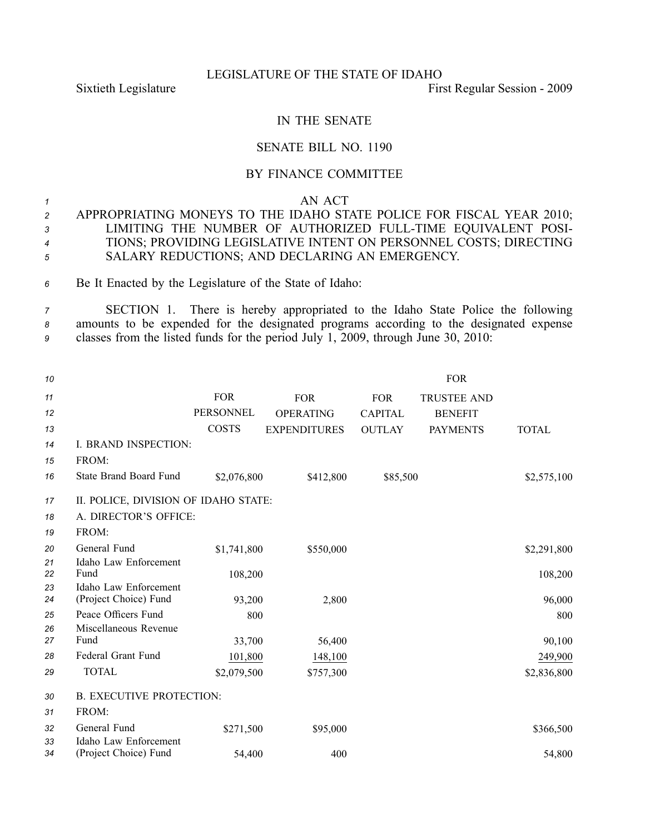#### LEGISLATURE OF THE STATE OF IDAHO

Sixtieth Legislature First Regular Session - 2009

# IN THE SENATE

### SENATE BILL NO. 1190

## BY FINANCE COMMITTEE

#### *<sup>1</sup>* AN ACT

- *<sup>2</sup>* APPROPRIATING MONEYS TO THE IDAHO STATE POLICE FOR FISCAL YEAR 2010; *<sup>3</sup>* LIMITING THE NUMBER OF AUTHORIZED FULLTIME EQUIVALENT POSI-*<sup>4</sup>* TIONS; PROVIDING LEGISLATIVE INTENT ON PERSONNEL COSTS; DIRECTING *<sup>5</sup>* SALARY REDUCTIONS; AND DECLARING AN EMERGENCY.
- *<sup>6</sup>* Be It Enacted by the Legislature of the State of Idaho:

*<sup>7</sup>* SECTION 1. There is hereby appropriated to the Idaho State Police the following *<sup>8</sup>* amounts to be expended for the designated programs according to the designated expense *<sup>9</sup>* classes from the listed funds for the period July 1, 2009, through June 30, 2010:

| 10       |                                                |                  |                     |                | <b>FOR</b>         |              |  |
|----------|------------------------------------------------|------------------|---------------------|----------------|--------------------|--------------|--|
| 11       |                                                | <b>FOR</b>       | <b>FOR</b>          | <b>FOR</b>     | <b>TRUSTEE AND</b> |              |  |
| 12       |                                                | <b>PERSONNEL</b> | <b>OPERATING</b>    | <b>CAPITAL</b> | <b>BENEFIT</b>     |              |  |
| 13       |                                                | <b>COSTS</b>     | <b>EXPENDITURES</b> | <b>OUTLAY</b>  | <b>PAYMENTS</b>    | <b>TOTAL</b> |  |
| 14       | I. BRAND INSPECTION:                           |                  |                     |                |                    |              |  |
| 15       | FROM:                                          |                  |                     |                |                    |              |  |
| 16       | <b>State Brand Board Fund</b>                  | \$2,076,800      | \$412,800           | \$85,500       |                    | \$2,575,100  |  |
| 17       | II. POLICE, DIVISION OF IDAHO STATE:           |                  |                     |                |                    |              |  |
| 18       | A. DIRECTOR'S OFFICE:                          |                  |                     |                |                    |              |  |
| 19       | FROM:                                          |                  |                     |                |                    |              |  |
| 20       | General Fund                                   | \$1,741,800      | \$550,000           |                |                    | \$2,291,800  |  |
| 21<br>22 | Idaho Law Enforcement<br>Fund                  | 108,200          |                     |                |                    | 108,200      |  |
| 23<br>24 | Idaho Law Enforcement<br>(Project Choice) Fund | 93,200           | 2,800               |                |                    | 96,000       |  |
| 25       | Peace Officers Fund                            | 800              |                     |                |                    | 800          |  |
| 26       | Miscellaneous Revenue                          |                  |                     |                |                    |              |  |
| 27       | Fund                                           | 33,700           | 56,400              |                |                    | 90,100       |  |
| 28       | Federal Grant Fund                             | 101,800          | 148,100             |                |                    | 249,900      |  |
| 29       | <b>TOTAL</b>                                   | \$2,079,500      | \$757,300           |                |                    | \$2,836,800  |  |
| 30       | <b>B. EXECUTIVE PROTECTION:</b>                |                  |                     |                |                    |              |  |
| 31       | FROM:                                          |                  |                     |                |                    |              |  |
| 32       | General Fund                                   | \$271,500        | \$95,000            |                |                    | \$366,500    |  |
| 33<br>34 | Idaho Law Enforcement<br>(Project Choice) Fund | 54,400           | 400                 |                |                    | 54,800       |  |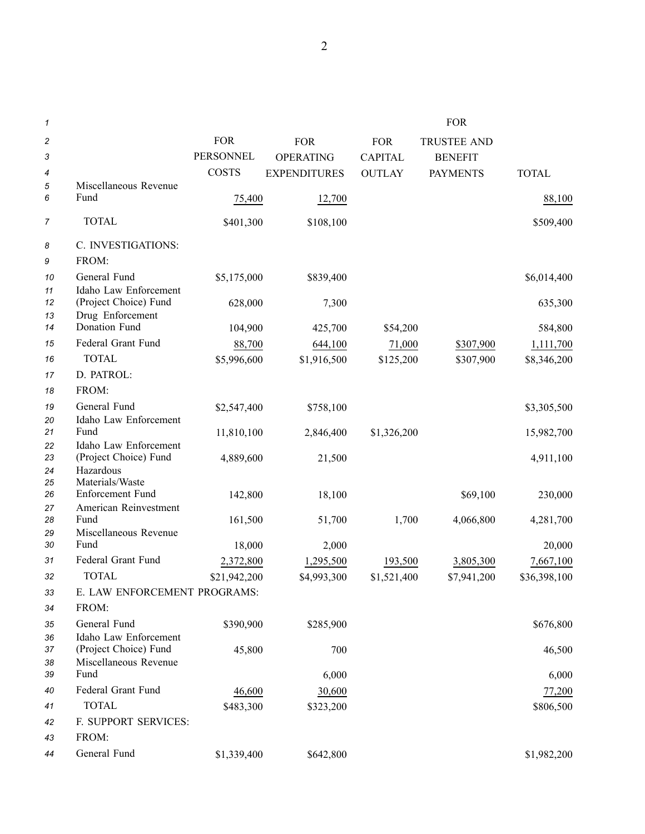| 1        |                                                |              |                     |                | <b>FOR</b>         |              |
|----------|------------------------------------------------|--------------|---------------------|----------------|--------------------|--------------|
| 2        |                                                | <b>FOR</b>   | <b>FOR</b>          | <b>FOR</b>     | <b>TRUSTEE AND</b> |              |
| 3        |                                                | PERSONNEL    | <b>OPERATING</b>    | <b>CAPITAL</b> | <b>BENEFIT</b>     |              |
| 4        |                                                | <b>COSTS</b> | <b>EXPENDITURES</b> | <b>OUTLAY</b>  | <b>PAYMENTS</b>    | <b>TOTAL</b> |
| 5        | Miscellaneous Revenue                          |              |                     |                |                    |              |
| 6        | Fund                                           | 75,400       | 12,700              |                |                    | 88,100       |
| 7        | <b>TOTAL</b>                                   | \$401,300    | \$108,100           |                |                    | \$509,400    |
| 8        | C. INVESTIGATIONS:                             |              |                     |                |                    |              |
| 9        | FROM:                                          |              |                     |                |                    |              |
| 10       | General Fund                                   | \$5,175,000  | \$839,400           |                |                    | \$6,014,400  |
| 11       | Idaho Law Enforcement                          |              |                     |                |                    |              |
| 12       | (Project Choice) Fund                          | 628,000      | 7,300               |                |                    | 635,300      |
| 13<br>14 | Drug Enforcement<br>Donation Fund              | 104,900      | 425,700             | \$54,200       |                    | 584,800      |
| 15       | Federal Grant Fund                             | 88,700       | 644,100             | 71,000         | \$307,900          | 1,111,700    |
| 16       | <b>TOTAL</b>                                   | \$5,996,600  | \$1,916,500         | \$125,200      | \$307,900          | \$8,346,200  |
| 17       | D. PATROL:                                     |              |                     |                |                    |              |
| 18       | FROM:                                          |              |                     |                |                    |              |
| 19       | General Fund                                   | \$2,547,400  | \$758,100           |                |                    | \$3,305,500  |
| 20       | Idaho Law Enforcement                          |              |                     |                |                    |              |
| 21       | Fund                                           | 11,810,100   | 2,846,400           | \$1,326,200    |                    | 15,982,700   |
| 22       | Idaho Law Enforcement                          |              |                     |                |                    |              |
| 23       | (Project Choice) Fund                          | 4,889,600    | 21,500              |                |                    | 4,911,100    |
| 24<br>25 | Hazardous<br>Materials/Waste                   |              |                     |                |                    |              |
| 26       | Enforcement Fund                               | 142,800      | 18,100              |                | \$69,100           | 230,000      |
| 27       | American Reinvestment                          |              |                     |                |                    |              |
| 28       | Fund                                           | 161,500      | 51,700              | 1,700          | 4,066,800          | 4,281,700    |
| 29<br>30 | Miscellaneous Revenue<br>Fund                  |              |                     |                |                    |              |
|          |                                                | 18,000       | 2,000               |                |                    | 20,000       |
| 31       | Federal Grant Fund                             | 2,372,800    | 1,295,500           | 193,500        | 3,805,300          | 7,667,100    |
| 32       | <b>TOTAL</b>                                   | \$21,942,200 | \$4,993,300         | \$1,521,400    | \$7,941,200        | \$36,398,100 |
| 33       | E. LAW ENFORCEMENT PROGRAMS:                   |              |                     |                |                    |              |
| 34       | FROM:                                          |              |                     |                |                    |              |
| 35       | General Fund                                   | \$390,900    | \$285,900           |                |                    | \$676,800    |
| 36<br>37 | Idaho Law Enforcement<br>(Project Choice) Fund | 45,800       | 700                 |                |                    | 46,500       |
| 38       | Miscellaneous Revenue                          |              |                     |                |                    |              |
| 39       | Fund                                           |              | 6,000               |                |                    | 6,000        |
| 40       | Federal Grant Fund                             | 46,600       | 30,600              |                |                    | 77,200       |
| 41       | <b>TOTAL</b>                                   | \$483,300    | \$323,200           |                |                    | \$806,500    |
| 42       | F. SUPPORT SERVICES:                           |              |                     |                |                    |              |
| 43       | FROM:                                          |              |                     |                |                    |              |
| 44       | General Fund                                   | \$1,339,400  | \$642,800           |                |                    | \$1,982,200  |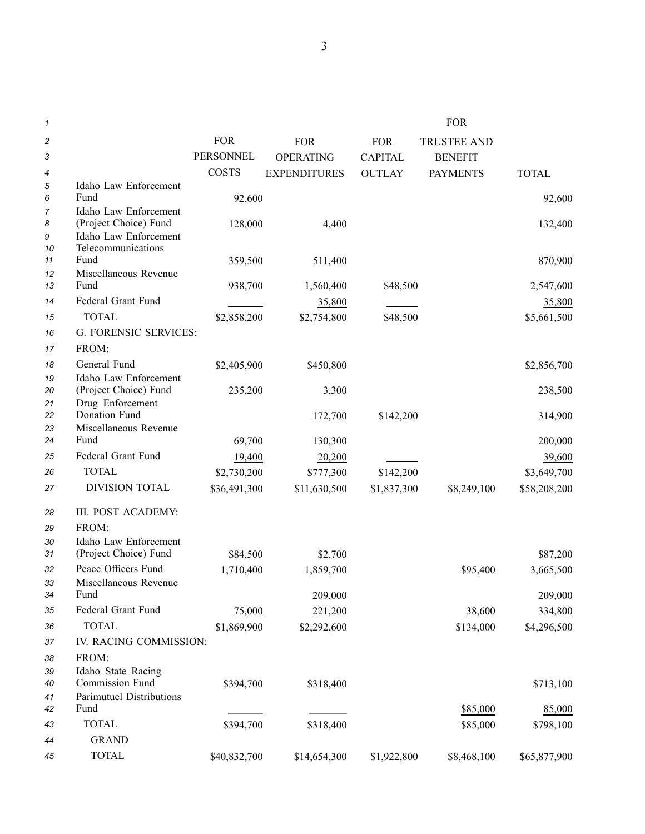| 1                       |                                                |                  |                     |                | <b>FOR</b>         |              |
|-------------------------|------------------------------------------------|------------------|---------------------|----------------|--------------------|--------------|
| $\overline{\mathbf{c}}$ |                                                | <b>FOR</b>       | <b>FOR</b>          | <b>FOR</b>     | <b>TRUSTEE AND</b> |              |
| 3                       |                                                | <b>PERSONNEL</b> | <b>OPERATING</b>    | <b>CAPITAL</b> | <b>BENEFIT</b>     |              |
| 4                       |                                                | <b>COSTS</b>     | <b>EXPENDITURES</b> | <b>OUTLAY</b>  | <b>PAYMENTS</b>    | <b>TOTAL</b> |
| 5                       | Idaho Law Enforcement                          |                  |                     |                |                    |              |
| 6                       | Fund                                           | 92,600           |                     |                |                    | 92,600       |
| 7                       | Idaho Law Enforcement                          |                  |                     |                |                    |              |
| 8<br>9                  | (Project Choice) Fund<br>Idaho Law Enforcement | 128,000          | 4,400               |                |                    | 132,400      |
| 10                      | Telecommunications                             |                  |                     |                |                    |              |
| 11                      | Fund                                           | 359,500          | 511,400             |                |                    | 870,900      |
| 12                      | Miscellaneous Revenue                          |                  |                     |                |                    |              |
| 13                      | Fund                                           | 938,700          | 1,560,400           | \$48,500       |                    | 2,547,600    |
| 14                      | Federal Grant Fund                             |                  | 35,800              |                |                    | 35,800       |
| 15                      | <b>TOTAL</b>                                   | \$2,858,200      | \$2,754,800         | \$48,500       |                    | \$5,661,500  |
| 16                      | <b>G. FORENSIC SERVICES:</b>                   |                  |                     |                |                    |              |
| 17                      | FROM:                                          |                  |                     |                |                    |              |
| 18                      | General Fund                                   | \$2,405,900      | \$450,800           |                |                    | \$2,856,700  |
| 19                      | Idaho Law Enforcement                          |                  |                     |                |                    |              |
| 20                      | (Project Choice) Fund                          | 235,200          | 3,300               |                |                    | 238,500      |
| 21<br>22                | Drug Enforcement<br>Donation Fund              |                  | 172,700             | \$142,200      |                    | 314,900      |
| 23                      | Miscellaneous Revenue                          |                  |                     |                |                    |              |
| 24                      | Fund                                           | 69,700           | 130,300             |                |                    | 200,000      |
| 25                      | Federal Grant Fund                             | 19,400           | 20,200              |                |                    | 39,600       |
| 26                      | <b>TOTAL</b>                                   | \$2,730,200      | \$777,300           | \$142,200      |                    | \$3,649,700  |
| 27                      | DIVISION TOTAL                                 | \$36,491,300     | \$11,630,500        | \$1,837,300    | \$8,249,100        | \$58,208,200 |
|                         |                                                |                  |                     |                |                    |              |
| 28                      | III. POST ACADEMY:                             |                  |                     |                |                    |              |
| 29                      | FROM:                                          |                  |                     |                |                    |              |
| 30<br>31                | Idaho Law Enforcement<br>(Project Choice) Fund | \$84,500         | \$2,700             |                |                    | \$87,200     |
| 32                      | Peace Officers Fund                            |                  |                     |                |                    |              |
| 33                      | Miscellaneous Revenue                          | 1,710,400        | 1,859,700           |                | \$95,400           | 3,665,500    |
| 34                      | Fund                                           |                  | 209,000             |                |                    | 209,000      |
| 35                      | Federal Grant Fund                             | 75,000           | 221,200             |                | 38,600             | 334,800      |
| 36                      | <b>TOTAL</b>                                   | \$1,869,900      | \$2,292,600         |                | \$134,000          | \$4,296,500  |
| 37                      | IV. RACING COMMISSION:                         |                  |                     |                |                    |              |
| 38                      | FROM:                                          |                  |                     |                |                    |              |
| 39                      | Idaho State Racing                             |                  |                     |                |                    |              |
| 40                      | Commission Fund                                | \$394,700        | \$318,400           |                |                    | \$713,100    |
| 41                      | Parimutuel Distributions                       |                  |                     |                |                    |              |
| 42                      | Fund                                           |                  |                     |                | \$85,000           | 85,000       |
| 43                      | <b>TOTAL</b>                                   | \$394,700        | \$318,400           |                | \$85,000           | \$798,100    |
| 44                      | <b>GRAND</b>                                   |                  |                     |                |                    |              |
| 45                      | <b>TOTAL</b>                                   | \$40,832,700     | \$14,654,300        | \$1,922,800    | \$8,468,100        | \$65,877,900 |